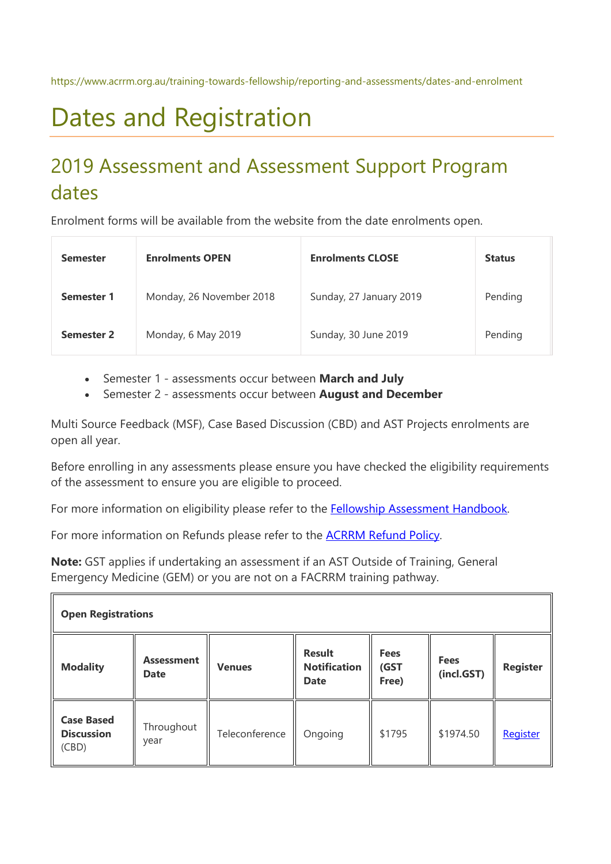# Dates and Registration

## 2019 Assessment and Assessment Support Program dates

Enrolment forms will be available from the website from the date enrolments open.

| <b>Semester</b>   | <b>Enrolments OPEN</b>   | <b>Enrolments CLOSE</b> | <b>Status</b> |
|-------------------|--------------------------|-------------------------|---------------|
| <b>Semester 1</b> | Monday, 26 November 2018 | Sunday, 27 January 2019 | Pending       |
| <b>Semester 2</b> | Monday, 6 May 2019       | Sunday, 30 June 2019    | Pending       |

- Semester 1 assessments occur between **March and July**
- Semester 2 assessments occur between **August and December**

Multi Source Feedback (MSF), Case Based Discussion (CBD) and AST Projects enrolments are open all year.

Before enrolling in any assessments please ensure you have checked the eligibility requirements of the assessment to ensure you are eligible to proceed.

For more information on eligibility please refer to the **Fellowship Assessment Handbook**.

For more information on Refunds please refer to the [ACRRM Refund Policy.](https://www.acrrm.org.au/docs/default-source/documents/the-college-at-work/acrrm-refund-policy.pdf?sfvrsn=944b87eb_2)

**Note:** GST applies if undertaking an assessment if an AST Outside of Training, General Emergency Medicine (GEM) or you are not on a FACRRM training pathway.

| <b>Open Registrations</b>                       |                                  |                |                                                     |                              |                           |                 |  |  |
|-------------------------------------------------|----------------------------------|----------------|-----------------------------------------------------|------------------------------|---------------------------|-----------------|--|--|
| <b>Modality</b>                                 | <b>Assessment</b><br><b>Date</b> | <b>Venues</b>  | <b>Result</b><br><b>Notification</b><br><b>Date</b> | <b>Fees</b><br>(GST<br>Free) | <b>Fees</b><br>(incl.GST) | <b>Register</b> |  |  |
| <b>Case Based</b><br><b>Discussion</b><br>(CBD) | Throughout<br>year               | Teleconference | Ongoing                                             | \$1795                       | \$1974.50                 | Register        |  |  |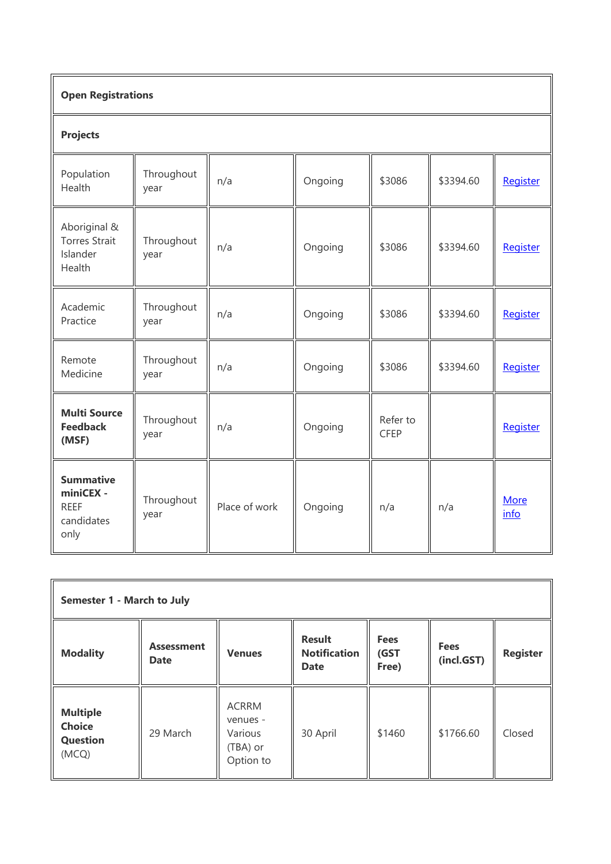| <b>Open Registrations</b>                                          |                    |               |         |                         |           |                     |  |
|--------------------------------------------------------------------|--------------------|---------------|---------|-------------------------|-----------|---------------------|--|
| <b>Projects</b>                                                    |                    |               |         |                         |           |                     |  |
| Population<br>Health                                               | Throughout<br>year | n/a           | Ongoing | \$3086                  | \$3394.60 | Register            |  |
| Aboriginal &<br><b>Torres Strait</b><br>Islander<br>Health         | Throughout<br>year | n/a           | Ongoing | \$3086                  | \$3394.60 | Register            |  |
| Academic<br>Practice                                               | Throughout<br>year | n/a           | Ongoing | \$3086                  | \$3394.60 | Register            |  |
| Remote<br>Medicine                                                 | Throughout<br>year | n/a           | Ongoing | \$3086                  | \$3394.60 | Register            |  |
| <b>Multi Source</b><br><b>Feedback</b><br>(MSF)                    | Throughout<br>year | n/a           | Ongoing | Refer to<br><b>CFEP</b> |           | Register            |  |
| <b>Summative</b><br>miniCEX -<br><b>REEF</b><br>candidates<br>only | Throughout<br>year | Place of work | Ongoing | n/a                     | n/a       | <b>More</b><br>info |  |

| Semester 1 - March to July                                   |                                  |                                                              |                                                     |                              |                           |                 |  |  |
|--------------------------------------------------------------|----------------------------------|--------------------------------------------------------------|-----------------------------------------------------|------------------------------|---------------------------|-----------------|--|--|
| <b>Modality</b>                                              | <b>Assessment</b><br><b>Date</b> | <b>Venues</b>                                                | <b>Result</b><br><b>Notification</b><br><b>Date</b> | <b>Fees</b><br>(GST<br>Free) | <b>Fees</b><br>(incl.GST) | <b>Register</b> |  |  |
| <b>Multiple</b><br><b>Choice</b><br><b>Question</b><br>(MCQ) | 29 March                         | <b>ACRRM</b><br>venues -<br>Various<br>(TBA) or<br>Option to | 30 April                                            | \$1460                       | \$1766.60                 | Closed          |  |  |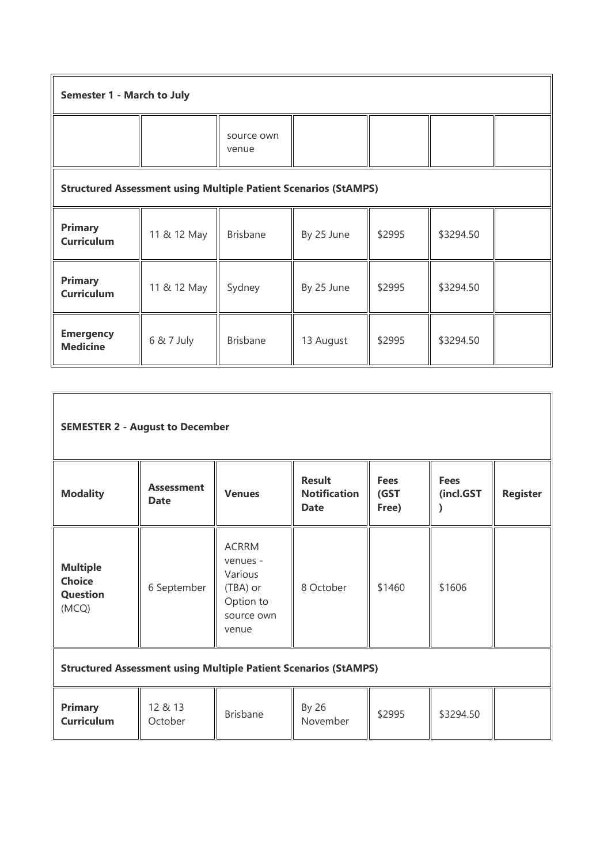| Semester 1 - March to July          |                                                                        |                     |            |        |           |  |  |  |
|-------------------------------------|------------------------------------------------------------------------|---------------------|------------|--------|-----------|--|--|--|
|                                     |                                                                        | source own<br>venue |            |        |           |  |  |  |
|                                     | <b>Structured Assessment using Multiple Patient Scenarios (StAMPS)</b> |                     |            |        |           |  |  |  |
| <b>Primary</b><br><b>Curriculum</b> | 11 & 12 May                                                            | <b>Brisbane</b>     | By 25 June | \$2995 | \$3294.50 |  |  |  |
| <b>Primary</b><br><b>Curriculum</b> | 11 & 12 May                                                            | Sydney              | By 25 June | \$2995 | \$3294.50 |  |  |  |
| <b>Emergency</b><br><b>Medicine</b> | 6 & 7 July                                                             | <b>Brisbane</b>     | 13 August  | \$2995 | \$3294.50 |  |  |  |

| <b>SEMESTER 2 - August to December</b>                                 |                                  |                                                                                     |                                                     |                              |                          |                 |  |  |
|------------------------------------------------------------------------|----------------------------------|-------------------------------------------------------------------------------------|-----------------------------------------------------|------------------------------|--------------------------|-----------------|--|--|
| <b>Modality</b>                                                        | <b>Assessment</b><br><b>Date</b> | <b>Venues</b>                                                                       | <b>Result</b><br><b>Notification</b><br><b>Date</b> | <b>Fees</b><br>(GST<br>Free) | <b>Fees</b><br>(incl.GST | <b>Register</b> |  |  |
| <b>Multiple</b><br><b>Choice</b><br><b>Question</b><br>(MCQ)           | 6 September                      | <b>ACRRM</b><br>venues -<br>Various<br>(TBA) or<br>Option to<br>source own<br>venue | 8 October                                           | \$1460                       | \$1606                   |                 |  |  |
| <b>Structured Assessment using Multiple Patient Scenarios (StAMPS)</b> |                                  |                                                                                     |                                                     |                              |                          |                 |  |  |
| <b>Primary</b><br><b>Curriculum</b>                                    | 12 & 13<br>October               | <b>Brisbane</b>                                                                     | By 26<br>November                                   | \$2995                       | \$3294.50                |                 |  |  |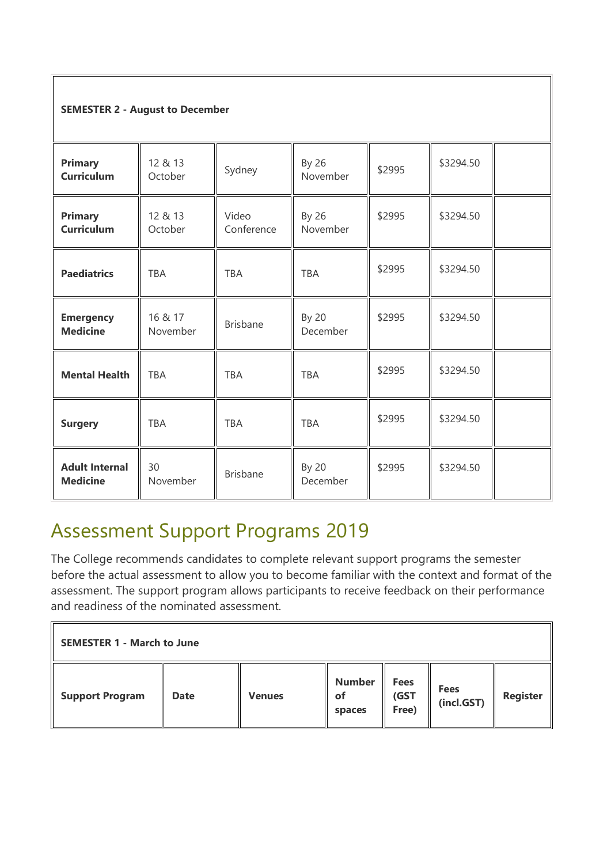#### **SEMESTER 2 - August to December**

| <b>Primary</b><br><b>Curriculum</b>      | 12 & 13<br>October  | Sydney              | By 26<br>November | \$2995 | \$3294.50 |  |
|------------------------------------------|---------------------|---------------------|-------------------|--------|-----------|--|
| <b>Primary</b><br><b>Curriculum</b>      | 12 & 13<br>October  | Video<br>Conference | By 26<br>November | \$2995 | \$3294.50 |  |
| <b>Paediatrics</b>                       | <b>TBA</b>          | <b>TBA</b>          | <b>TBA</b>        | \$2995 | \$3294.50 |  |
| <b>Emergency</b><br><b>Medicine</b>      | 16 & 17<br>November | <b>Brisbane</b>     | By 20<br>December | \$2995 | \$3294.50 |  |
| <b>Mental Health</b>                     | <b>TBA</b>          | <b>TBA</b>          | <b>TBA</b>        | \$2995 | \$3294.50 |  |
| <b>Surgery</b>                           | <b>TBA</b>          | <b>TBA</b>          | <b>TBA</b>        | \$2995 | \$3294.50 |  |
| <b>Adult Internal</b><br><b>Medicine</b> | 30<br>November      | <b>Brisbane</b>     | By 20<br>December | \$2995 | \$3294.50 |  |

### Assessment Support Programs 2019

The College recommends candidates to complete relevant support programs the semester before the actual assessment to allow you to become familiar with the context and format of the assessment. The support program allows participants to receive feedback on their performance and readiness of the nominated assessment.

| <b>SEMESTER 1 - March to June</b> |             |               |                               |                              |                           |                 |  |
|-----------------------------------|-------------|---------------|-------------------------------|------------------------------|---------------------------|-----------------|--|
| <b>Support Program</b>            | <b>Date</b> | <b>Venues</b> | <b>Number</b><br>оf<br>spaces | <b>Fees</b><br>(GST<br>Free) | <b>Fees</b><br>(incl.GST) | <b>Register</b> |  |